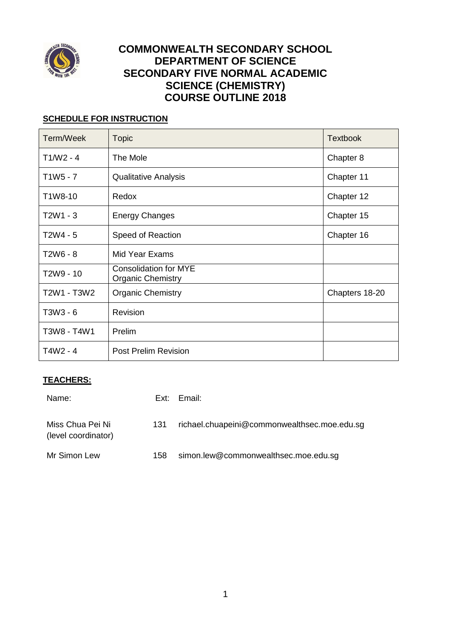

# **COMMONWEALTH SECONDARY SCHOOL DEPARTMENT OF SCIENCE SECONDARY FIVE NORMAL ACADEMIC SCIENCE (CHEMISTRY) COURSE OUTLINE 2018**

## **SCHEDULE FOR INSTRUCTION**

| Term/Week   | <b>Topic</b>                                             | <b>Textbook</b> |
|-------------|----------------------------------------------------------|-----------------|
| $T1/W2 - 4$ | The Mole                                                 | Chapter 8       |
| $T1W5 - 7$  | <b>Qualitative Analysis</b>                              | Chapter 11      |
| T1W8-10     | Redox                                                    | Chapter 12      |
| T2W1 - 3    | <b>Energy Changes</b>                                    | Chapter 15      |
| T2W4 - 5    | Speed of Reaction                                        | Chapter 16      |
| T2W6 - 8    | <b>Mid Year Exams</b>                                    |                 |
| T2W9 - 10   | <b>Consolidation for MYE</b><br><b>Organic Chemistry</b> |                 |
| T2W1 - T3W2 | <b>Organic Chemistry</b>                                 | Chapters 18-20  |
| T3W3 - 6    | Revision                                                 |                 |
| T3W8 - T4W1 | Prelim                                                   |                 |
| T4W2 - 4    | <b>Post Prelim Revision</b>                              |                 |

# **TEACHERS:**

| Name:                                   |     | Ext: Email:                                  |
|-----------------------------------------|-----|----------------------------------------------|
| Miss Chua Pei Ni<br>(level coordinator) | 131 | richael.chuapeini@commonwealthsec.moe.edu.sg |
| Mr Simon Lew                            | 158 | simon.lew@commonwealthsec.moe.edu.sg         |